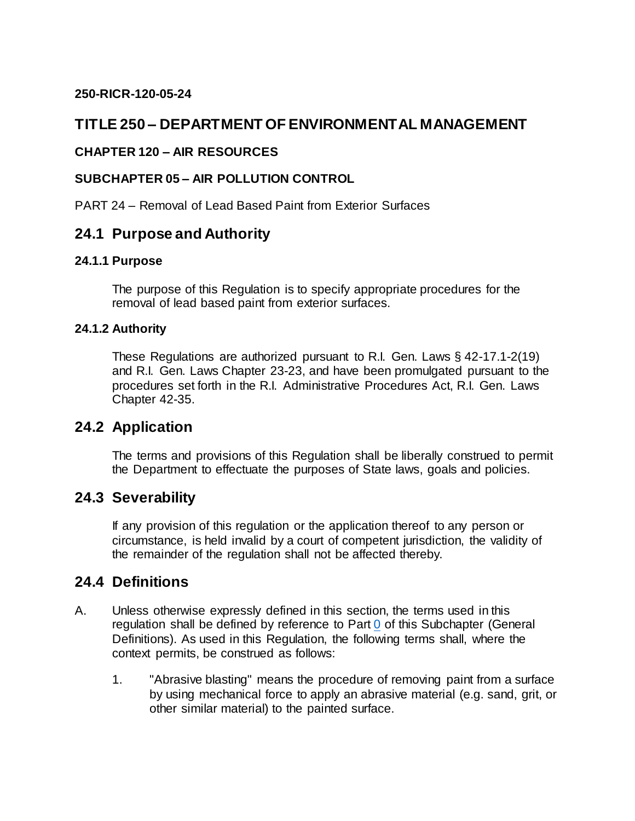#### **250-RICR-120-05-24**

# **TITLE 250 – DEPARTMENT OF ENVIRONMENTAL MANAGEMENT**

#### **CHAPTER 120 – AIR RESOURCES**

#### **SUBCHAPTER 05 – AIR POLLUTION CONTROL**

PART 24 – Removal of Lead Based Paint from Exterior Surfaces

### **24.1 Purpose and Authority**

#### **24.1.1 Purpose**

The purpose of this Regulation is to specify appropriate procedures for the removal of lead based paint from exterior surfaces.

#### **24.1.2 Authority**

These Regulations are authorized pursuant to R.I. Gen. Laws § 42-17.1-2(19) and R.I. Gen. Laws Chapter 23-23, and have been promulgated pursuant to the procedures set forth in the R.I. Administrative Procedures Act, R.I. Gen. Laws Chapter 42-35.

### **24.2 Application**

The terms and provisions of this Regulation shall be liberally construed to permit the Department to effectuate the purposes of State laws, goals and policies.

### **24.3 Severability**

If any provision of this regulation or the application thereof to any person or circumstance, is held invalid by a court of competent jurisdiction, the validity of the remainder of the regulation shall not be affected thereby.

### **24.4 Definitions**

- A. Unless otherwise expressly defined in this section, the terms used in this regulation shall be defined by reference to Part [0](https://rules.sos.ri.gov/regulations/part/250-120-05-0) of this Subchapter (General Definitions). As used in this Regulation, the following terms shall, where the context permits, be construed as follows:
	- 1. "Abrasive blasting" means the procedure of removing paint from a surface by using mechanical force to apply an abrasive material (e.g. sand, grit, or other similar material) to the painted surface.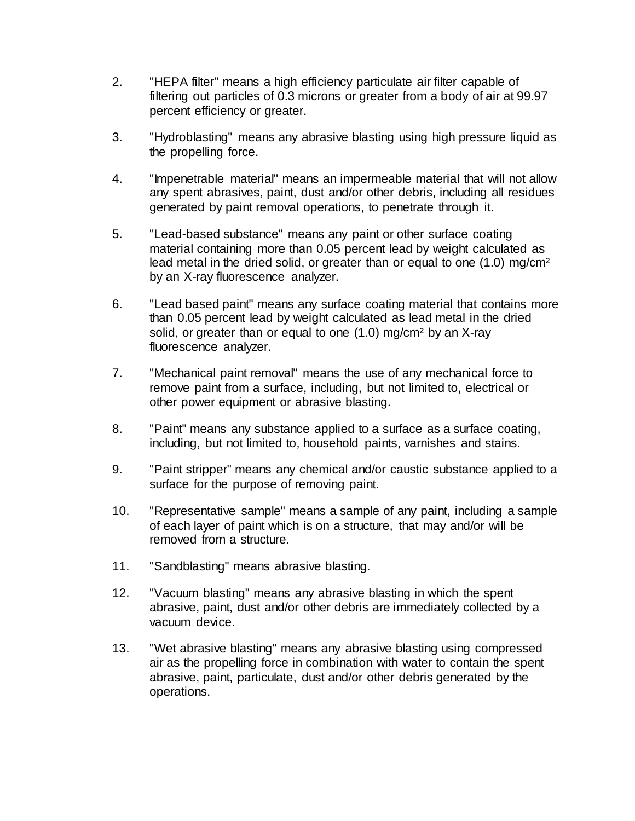- 2. "HEPA filter" means a high efficiency particulate air filter capable of filtering out particles of 0.3 microns or greater from a body of air at 99.97 percent efficiency or greater.
- 3. "Hydroblasting" means any abrasive blasting using high pressure liquid as the propelling force.
- 4. "Impenetrable material" means an impermeable material that will not allow any spent abrasives, paint, dust and/or other debris, including all residues generated by paint removal operations, to penetrate through it.
- 5. "Lead-based substance" means any paint or other surface coating material containing more than 0.05 percent lead by weight calculated as lead metal in the dried solid, or greater than or equal to one (1.0) mg/cm<sup>2</sup> by an X-ray fluorescence analyzer.
- 6. "Lead based paint" means any surface coating material that contains more than 0.05 percent lead by weight calculated as lead metal in the dried solid, or greater than or equal to one (1.0) mg/cm² by an X-ray fluorescence analyzer.
- 7. "Mechanical paint removal" means the use of any mechanical force to remove paint from a surface, including, but not limited to, electrical or other power equipment or abrasive blasting.
- 8. "Paint" means any substance applied to a surface as a surface coating, including, but not limited to, household paints, varnishes and stains.
- 9. "Paint stripper" means any chemical and/or caustic substance applied to a surface for the purpose of removing paint.
- 10. "Representative sample" means a sample of any paint, including a sample of each layer of paint which is on a structure, that may and/or will be removed from a structure.
- 11. "Sandblasting" means abrasive blasting.
- 12. "Vacuum blasting" means any abrasive blasting in which the spent abrasive, paint, dust and/or other debris are immediately collected by a vacuum device.
- 13. "Wet abrasive blasting" means any abrasive blasting using compressed air as the propelling force in combination with water to contain the spent abrasive, paint, particulate, dust and/or other debris generated by the operations.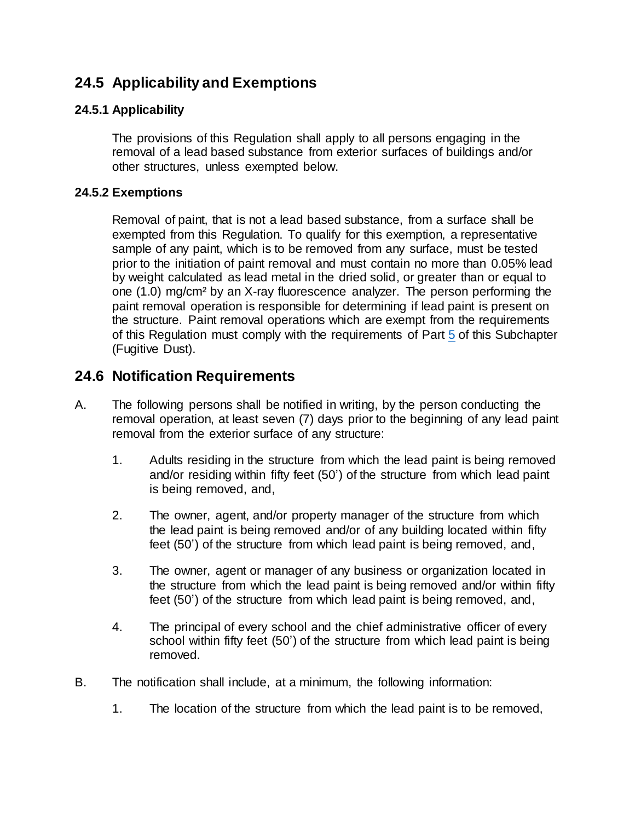# **24.5 Applicability and Exemptions**

#### **24.5.1 Applicability**

The provisions of this Regulation shall apply to all persons engaging in the removal of a lead based substance from exterior surfaces of buildings and/or other structures, unless exempted below.

#### **24.5.2 Exemptions**

Removal of paint, that is not a lead based substance, from a surface shall be exempted from this Regulation. To qualify for this exemption, a representative sample of any paint, which is to be removed from any surface, must be tested prior to the initiation of paint removal and must contain no more than 0.05% lead by weight calculated as lead metal in the dried solid, or greater than or equal to one (1.0) mg/cm² by an X-ray fluorescence analyzer. The person performing the paint removal operation is responsible for determining if lead paint is present on the structure. Paint removal operations which are exempt from the requirements of this Regulation must comply with the requirements of Par[t 5](https://rules.sos.ri.gov/regulations/part/250-120-05-5) of this Subchapter (Fugitive Dust).

### **24.6 Notification Requirements**

- A. The following persons shall be notified in writing, by the person conducting the removal operation, at least seven (7) days prior to the beginning of any lead paint removal from the exterior surface of any structure:
	- 1. Adults residing in the structure from which the lead paint is being removed and/or residing within fifty feet (50') of the structure from which lead paint is being removed, and,
	- 2. The owner, agent, and/or property manager of the structure from which the lead paint is being removed and/or of any building located within fifty feet (50') of the structure from which lead paint is being removed, and,
	- 3. The owner, agent or manager of any business or organization located in the structure from which the lead paint is being removed and/or within fifty feet (50') of the structure from which lead paint is being removed, and,
	- 4. The principal of every school and the chief administrative officer of every school within fifty feet (50') of the structure from which lead paint is being removed.
- B. The notification shall include, at a minimum, the following information:
	- 1. The location of the structure from which the lead paint is to be removed,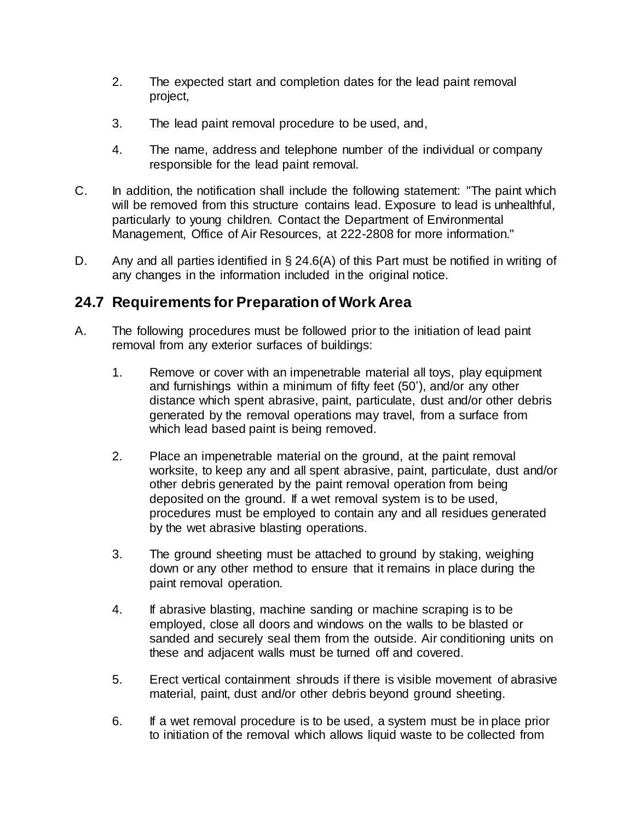- 2. The expected start and completion dates for the lead paint removal project,
- 3. The lead paint removal procedure to be used, and,
- 4. The name, address and telephone number of the individual or company responsible for the lead paint removal.
- C. In addition, the notification shall include the following statement: "The paint which will be removed from this structure contains lead. Exposure to lead is unhealthful, particularly to young children. Contact the Department of Environmental Management, Office of Air Resources, at 222-2808 for more information."
- D. Any and all parties identified in § 24.6(A) of this Part must be notified in writing of any changes in the information included in the original notice.

# **24.7 Requirements for Preparation of Work Area**

- A. The following procedures must be followed prior to the initiation of lead paint removal from any exterior surfaces of buildings:
	- 1. Remove or cover with an impenetrable material all toys, play equipment and furnishings within a minimum of fifty feet (50'), and/or any other distance which spent abrasive, paint, particulate, dust and/or other debris generated by the removal operations may travel, from a surface from which lead based paint is being removed.
	- 2. Place an impenetrable material on the ground, at the paint removal worksite, to keep any and all spent abrasive, paint, particulate, dust and/or other debris generated by the paint removal operation from being deposited on the ground. If a wet removal system is to be used, procedures must be employed to contain any and all residues generated by the wet abrasive blasting operations.
	- 3. The ground sheeting must be attached to ground by staking, weighing down or any other method to ensure that it remains in place during the paint removal operation.
	- 4. If abrasive blasting, machine sanding or machine scraping is to be employed, close all doors and windows on the walls to be blasted or sanded and securely seal them from the outside. Air conditioning units on these and adjacent walls must be turned off and covered.
	- 5. Erect vertical containment shrouds if there is visible movement of abrasive material, paint, dust and/or other debris beyond ground sheeting.
	- 6. If a wet removal procedure is to be used, a system must be in place prior to initiation of the removal which allows liquid waste to be collected from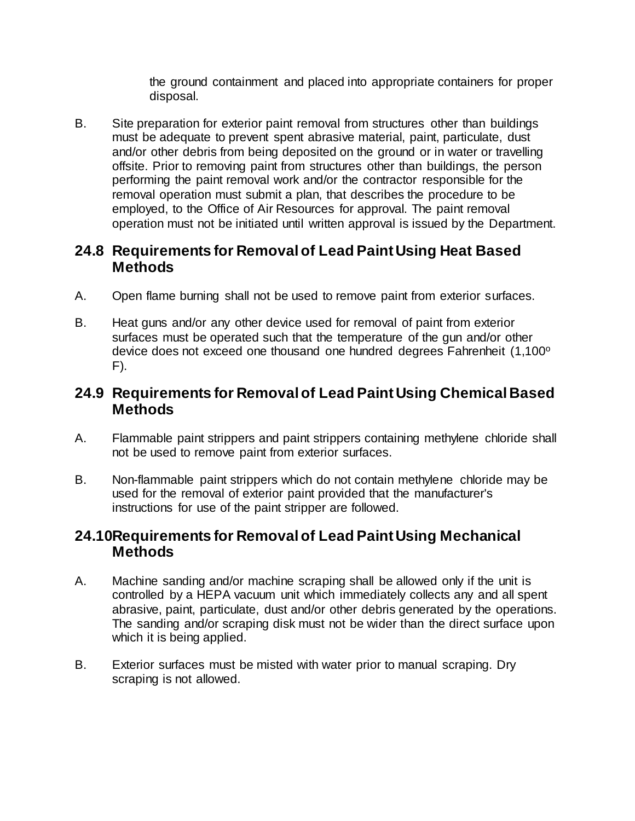the ground containment and placed into appropriate containers for proper disposal.

B. Site preparation for exterior paint removal from structures other than buildings must be adequate to prevent spent abrasive material, paint, particulate, dust and/or other debris from being deposited on the ground or in water or travelling offsite. Prior to removing paint from structures other than buildings, the person performing the paint removal work and/or the contractor responsible for the removal operation must submit a plan, that describes the procedure to be employed, to the Office of Air Resources for approval. The paint removal operation must not be initiated until written approval is issued by the Department.

### **24.8 Requirements for Removal of Lead Paint Using Heat Based Methods**

- A. Open flame burning shall not be used to remove paint from exterior surfaces.
- B. Heat guns and/or any other device used for removal of paint from exterior surfaces must be operated such that the temperature of the gun and/or other device does not exceed one thousand one hundred degrees Fahrenheit (1,100°  $F$ ).

## **24.9 Requirements for Removal of Lead Paint Using Chemical Based Methods**

- A. Flammable paint strippers and paint strippers containing methylene chloride shall not be used to remove paint from exterior surfaces.
- B. Non-flammable paint strippers which do not contain methylene chloride may be used for the removal of exterior paint provided that the manufacturer's instructions for use of the paint stripper are followed.

### **24.10Requirements for Removal of Lead Paint Using Mechanical Methods**

- A. Machine sanding and/or machine scraping shall be allowed only if the unit is controlled by a HEPA vacuum unit which immediately collects any and all spent abrasive, paint, particulate, dust and/or other debris generated by the operations. The sanding and/or scraping disk must not be wider than the direct surface upon which it is being applied.
- B. Exterior surfaces must be misted with water prior to manual scraping. Dry scraping is not allowed.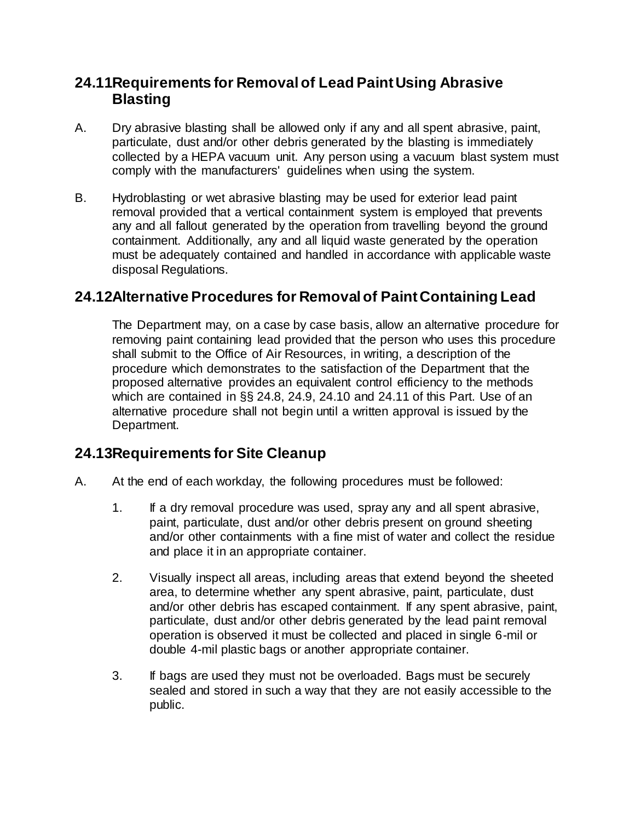## **24.11Requirements for Removal of Lead Paint Using Abrasive Blasting**

- A. Dry abrasive blasting shall be allowed only if any and all spent abrasive, paint, particulate, dust and/or other debris generated by the blasting is immediately collected by a HEPA vacuum unit. Any person using a vacuum blast system must comply with the manufacturers' guidelines when using the system.
- B. Hydroblasting or wet abrasive blasting may be used for exterior lead paint removal provided that a vertical containment system is employed that prevents any and all fallout generated by the operation from travelling beyond the ground containment. Additionally, any and all liquid waste generated by the operation must be adequately contained and handled in accordance with applicable waste disposal Regulations.

# **24.12Alternative Procedures for Removal of Paint Containing Lead**

The Department may, on a case by case basis, allow an alternative procedure for removing paint containing lead provided that the person who uses this procedure shall submit to the Office of Air Resources, in writing, a description of the procedure which demonstrates to the satisfaction of the Department that the proposed alternative provides an equivalent control efficiency to the methods which are contained in §§ 24.8, 24.9, 24.10 and 24.11 of this Part. Use of an alternative procedure shall not begin until a written approval is issued by the Department.

## **24.13Requirements for Site Cleanup**

- A. At the end of each workday, the following procedures must be followed:
	- 1. If a dry removal procedure was used, spray any and all spent abrasive, paint, particulate, dust and/or other debris present on ground sheeting and/or other containments with a fine mist of water and collect the residue and place it in an appropriate container.
	- 2. Visually inspect all areas, including areas that extend beyond the sheeted area, to determine whether any spent abrasive, paint, particulate, dust and/or other debris has escaped containment. If any spent abrasive, paint, particulate, dust and/or other debris generated by the lead paint removal operation is observed it must be collected and placed in single 6-mil or double 4-mil plastic bags or another appropriate container.
	- 3. If bags are used they must not be overloaded. Bags must be securely sealed and stored in such a way that they are not easily accessible to the public.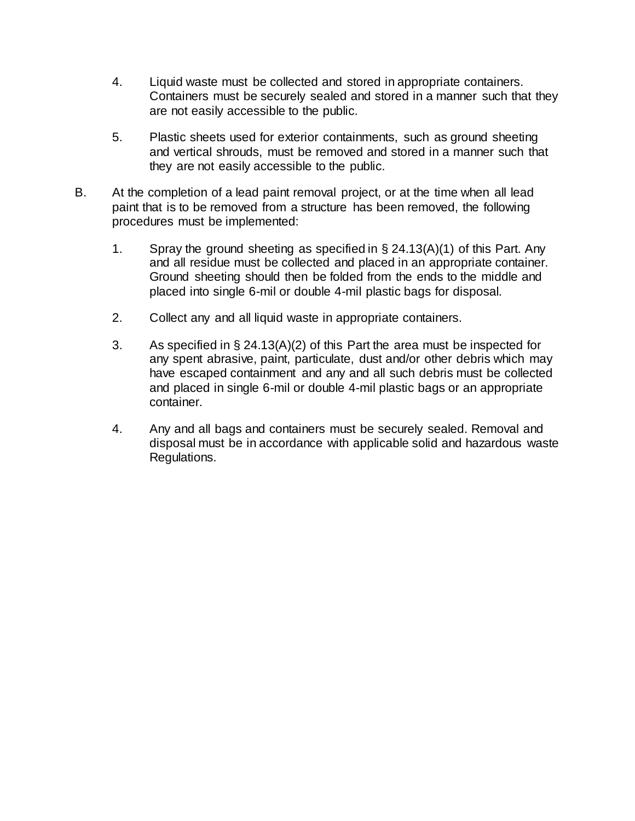- 4. Liquid waste must be collected and stored in appropriate containers. Containers must be securely sealed and stored in a manner such that they are not easily accessible to the public.
- 5. Plastic sheets used for exterior containments, such as ground sheeting and vertical shrouds, must be removed and stored in a manner such that they are not easily accessible to the public.
- B. At the completion of a lead paint removal project, or at the time when all lead paint that is to be removed from a structure has been removed, the following procedures must be implemented:
	- 1. Spray the ground sheeting as specified in § 24.13(A)(1) of this Part. Any and all residue must be collected and placed in an appropriate container. Ground sheeting should then be folded from the ends to the middle and placed into single 6-mil or double 4-mil plastic bags for disposal.
	- 2. Collect any and all liquid waste in appropriate containers.
	- 3. As specified in § 24.13(A)(2) of this Part the area must be inspected for any spent abrasive, paint, particulate, dust and/or other debris which may have escaped containment and any and all such debris must be collected and placed in single 6-mil or double 4-mil plastic bags or an appropriate container.
	- 4. Any and all bags and containers must be securely sealed. Removal and disposal must be in accordance with applicable solid and hazardous waste Regulations.